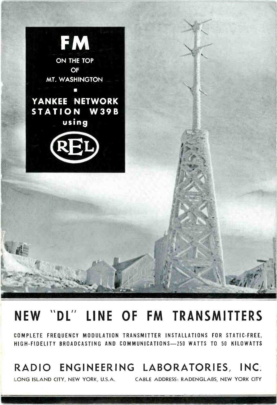

## NEW "DL"" LINE OF FM TRANSMITTERS

COMPLETE FREQUENCY MODULATION TRANSMITTER INSTALLATIONS FOR STATIC -FREE, HIGH-FIDELITY BROADCASTING AND COMMUNICATIONS-250 WATTS TO 50 KILOWATTS

## RADIO ENGINEERING LABORATORIES, INC.

LONG ISLAND CITY, NEW YORK, U.S.A. CABLE ADDRESS: RADENGLABS, NEW YORK CITY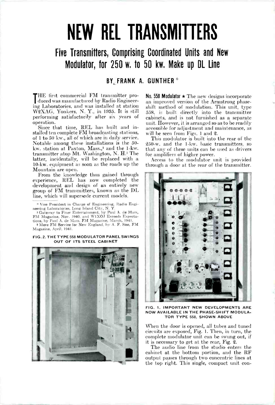# NEW REL TRANSMITTERS

## Five Transmitters, Comprising Coordinated Units and New Modulator, for 250 w, to 50 kw. Make up DL Line

BY FRANK A. GUNTHER\*

HE first commercial FM transmitter produced was manufactured by Radio Engineerduced was manufactured by Radio Engineer-<br>ing Laboratories, and was installed at station shift method of modulation. This unit, type W2XAG, Yonkers, N. Y., in 1935. It is still performing satisfactorily after six years of operation.

Since that time, REL has built and installed ten complete FM broadcasting stations, of 1 to 50 kw., all of which are in daily service. This modulator is built into the rear of the Notable among these installations is the  $50-250-w$ , and the 1-kw. basic transmitters, so Notable among these installations is the 50kw. station at Paxton, Mass.,' and the 1 -kw. transmitter atop Mt. Washington, N. H.<sup>2</sup> The for latter, incidentally, will be replaced with a 10 -kw. equipment as soon as the roads up the Mountain are open.

From the knowledge thus gained through experience, REL has now completed the development and design of an entirely new group of FM transmitters, known as the DL line, which will supersede current models.

\* Vice President in Charge of Engineering, Radio Engi-

neering Laboratories, Long Island City, N. Y.<br><sup>1</sup>Gateway to Finer Entertainment, by Paul A. de Mars, FM Magazine, Nov. 1940, and W1XOJ Exceeds Expecta-tions, by Paul A. de Mars, FM Magazine, March, 1941. <sup>2</sup> More FM Service for New England, by A. F. Sise, FM Magazine, April, 1941.

#### FIG. 2. THE TYPE 558 MODULATOR PANEL SWINGS OUT OF ITS STEEL CABINET



No. 558 Modulator  $\star$  The new designs incorporate an improved version of the Armstrong phase-shift method of modulation. This unit, type 558, is built directly into the transmitter cabinets, and is not furnished as a separate unit. However, it is arranged so as to be readily accessible for adjustment and maintenance, as will be seen from Figs. 1 and 2.

This modulator is built into the rear of the that any of these units can be used as drivers for amplifiers of higher power.

Access to the modulator unit is provided through a door at the rear of the transmitter.



FIG. 1. IMPORTANT NEW DEVELOPMENTS ARE NOW AVAILABLE IN THE PHASE -SHIFT MODULA-TOR TYPE 558, SHOWN ABOVE

When the door is opened, all tubes and tuned circuits are exposed, Fig. 1. Then, in turn, the complete modulator unit can be swung out, if it is necessary to get at the rear, Fig. 2.

The audio line from the studio enters the cabinet at the bottom portion, and the RF output passes through two concentric lines at the top right. This single, compact unit con-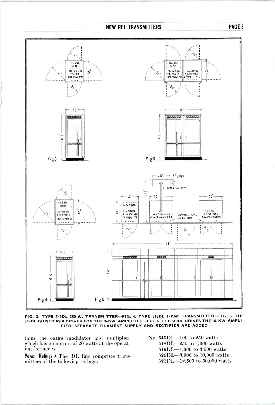### NEW REL TRANSMITTERS PAGE 3



FIG. 3. TYPE 549DL 250-W. TRANSMITTER-FIG. 4. TYPE 518DL 1 -KW. TRANSMITTER -FIG. 5. THE 549DL IS USEDASA DRIVER FOR THE3-KW. AMPLIFIER-FIG. 6. THE 518DL DRIVES THE 10 -KW. AMPLI-FIER. SEPARATE FILAMENT SUPPLY AND RECTIFIER ARE ADDED

tains the entire modulator and multiplier, which has an output of 20 watts at the operating frequency.

**Power Ratings**  $\star$  **The DL line comprises trans**mitters of the following ratings:

No. 549DL-100 to 250 watts 518DL-250 to 1,000 watts 519DL-1,000 to 3,000 watts 520DL-3,000 to 10,000 watts 521DL-12,500 to 50,000 watts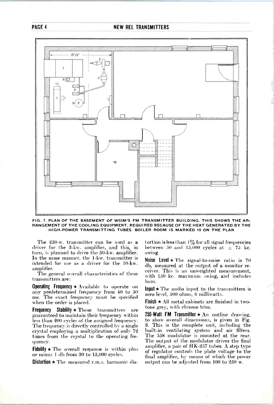#### PAGE 4 NEW REL TRANSMITTERS



#### FIG. 7. PLAN OF THE BASEMENT OF W55M'S FM TRANSMITTER BUILDING. THIS SHOWS THE AR-RANGEMENT OF THE COOLING EQUIPMENT, REQUIRED BECAUSE OF THE HEAT GENERATED BY THE HIGH -POWER TRANSMITTING TUBES. BOILER ROOM IS MARKED 10 ON THE PLAN

The 250-w. transmitter can be used as a driver for the 3 -kw. amplifier, and this, in turn, is planned to drive the 50 -kw. amplifier. In the same manner, the 1 -kw. transmitter is intended for use as a driver for the 10-kw. amplifier.

transmitters are:

**Operating Frequency \*** Available to operate on **any predetermined** frequency from 40 to 50 **and a** zero level, 500 ohms, 6 milliwatts. when the order is placed.

**Frequency** Stability  $\star$  These transmitters are guaranteed to maintain their frequency within less than 200 cycles of the assigned frequency. The frequency is directly controlled by a single crystal employing a multiplication of only 72 times from the crystal to the operating frequency.

**Fidelity**  $\star$  The overall response is within plus or minus 1 db from 30 to 15,000 cycles.

**Distortion**  $\star$  The measured r.m.s. harmonic dis-

tortion is less than  $1\%$  for all signal frequencies between 50 and 15,000 cycles at  $\pm$  75 kc. swing.

applier.<br>The general overall characteristics of these soith 150 kg, movinum anima and included Noise Level  $\star$  The signal-to-noise ratio is 70 db, measured at the output of a monitor rewith 150 kc. maximum swing, and includes hum.

**Input**  $\star$  The audio input to the transmitters is

**Finish**  $\star$  All metal cabinets are finished in twotone grey, with chrome trim.

250-Watt FM Transmitter  $\star$  An outline drawing, to show overall dimensions, is given in Fig. 3. This is the complete unit, including the built-in ventilating system and air filters. The 558 modulator is mounted at the rear. The output of the modulator drives the final amplifier, a pair of IIK-257 tubes. A step type of regulator controls the plate voltage to the final amplifier, by means of which the power output can be adjusted from 100 to 250 w.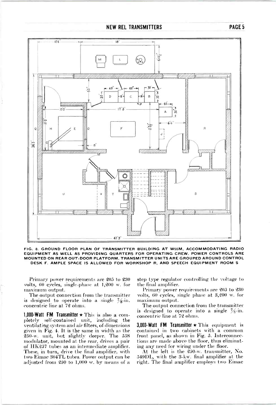

FIG. 8. GROUND FLOOR PLAN OF TRANSMITTER BUILDING AT W55M, ACCOMMODATING RADIO EQUIPMENT AS WELL AS PROVIDING QUARTERS FOR OPERATING CREW. POWER CONTROLS ARE MOUNTED ON REAR OUT-DOOR PLATFORM. TRANSMITTER UNITS ARE GROUPED AROUND CONTROL DESK F. AMPLE SPACE IS ALLOWED FOR WORKSHOP R, AND SPEECH EQUIPMENT ROOM S

Primary power requirements are 205 to 230 volts, 60 cycles, single-phase at 1,200 w. for maximum output.

The output connection from the transmitter is designed to operate into a single  $\frac{7}{8}$ -in. concentric line at 72 ohms.

1.000 Watt FM Transmitter  $\star$  This is also a completely self-contained unit, including the ventilating system and air filters, of dimensions given in Fig. 4. It is the same in width as the 250-w. unit, but slightly deeper. The 558 modulator, mounted at the rear, drives a pair of HK257 tubes as an intermediate amplifier. These, in turn, drive the final amplifier, with two Eimac 304TL tubes. Power output can be adjusted from 250 to 1,000 w. by means of a

step type regulator controlling the voltage to the final amplifier.

Primary power requirements are 205 to 230 volts, 60 cycles, single phase at 3,200 w. for maximum output.

The output connection from the transmitter is designed to operate into a single  $\frac{7}{8}$ -in. concentric line at 72 ohms.

**3,000-Watt FM Transmitter**  $\star$  **This equipment is** contained in two cabinets with a common front panel, as shown in Fig. 5. Interconnections are made above the floor, thus eliminating any need for wiring under the floor.

At the left is the 250-w. transmitter, No. 549DL, with the 3-kw. final amplifier at the right. The final amplifier employs two Eimac

PAGE 5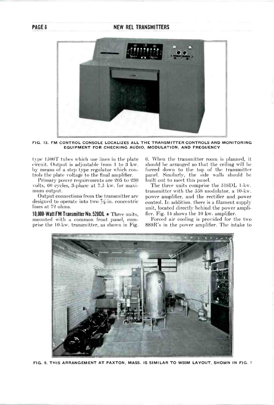

FIG. 13. FM CONTROL CONSOLE LOCALIZES ALL THE TRANSMITTER CONTROLS AND MONITORING EQUIPMENT FOR CHECKING AUDIO, MODULATION, AND FREQUENCY

type 1500T tubes which use lines in the plate circuit. Output is adjustable from 1 to 3 kw. by means of a step type regulator which con- trols the plate voltage to the final amplifier. Primary power requirements are 205 to <sup>230</sup>

volts, 60 cycles, 3-phase at 7.5 kw. for maxi-<br>mum output.<br>Output connections from the transmitter are

designed to operate into two  $\frac{7}{8}$ -in. concentric lines at 72 ohms.

10,000 - Watt FM Transmitter No. 520DL  $\star$  Three units, mounted with a common front panel, comprise the 10-kw. transmitter, as shown in Fig.

6. When the transmitter room is planned, it should be arranged so that the ceiling will be furred down to the top of the transmitter panel. Similarly, the side walls should be built out to meet this panel.

The three units comprise the 518DL 1-kw. transmitter with the 558 modulator, a 10 -kw. power amplifier, and the rectifier and power control. In addition, there is a filament supply unit, located directly behind the power amplifier. Fig. I4 shows the 10 kw. amplifier.

Forced air cooling is provided for the two 889R's in the power amplifier. The intake to



FIG. 9. THIS ARRANGEMENT AT PAXTON, MASS. IS SIMILAR TO W55M LAYOUT, SHOWN IN FIG. 7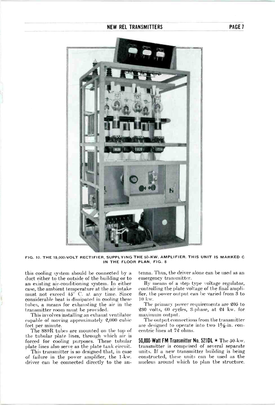#### NEW REL TRANSMITTERS PAGE 7



FIG. 10. THE 15,000 -VOLT RECTIFIER, SUPPLYING THE 50 -KW. AMPLIFIER. THIS UNIT IS MARKED C IN THE FLOOR PLAN, FIG. <sup>8</sup>

this cooling system should be connected by a tenna. Thus, the driver duct either to the outside of the building or to emergency transmitter.<br>an existing air-conditioning system. In either By means of a step case, the ambient temperature at the air intake must not exceed 45° C. at any time. Since considerable heat is dissipated in cooling these tubes, a means for exhausting the air in the transmitter room must be provided.

This involves installing an exhaust ventilator — maximum output.<br>
uable of moving approximately 2,000 cubic — — The output connections from the transmitter capable of moving approximately 2,000 cubic feet per minute.

The 889R tubes are mounted on the top of centric lines at 72 ohms. the tubular plate lines, through which air is forced for cooling purposes. These tubular plate lines also serve as the plate tank circuit.<br>This transmitter is so designed that, in case

of failure in the power amplifier, the 1-kw. driver can be connected directly to the antenna. Thus, the driver alone can be used as an

By means of a step type voltage regulator, controlling the plate voltage of the final amplifier, the power output can be varied from 3 to 10 kw.

The primary power requirements are 205 to 230 volts, 60 cycles, 3 -phase, at 24 kw. for maximum output.

are designed to operate into two  $1\frac{5}{8}$ -in. con-

50,000 Watt FM Transmitter No. 521 DL  $\star$  The 50-kw. transmitter is comprised of several separate units. If a new transmitter building is being constructed, these units can be used as the nucleus around which to plan the structure.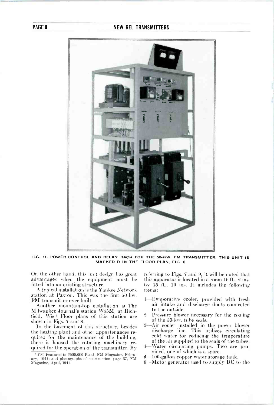#### PAGE 8 NEW REL TRANSMITTERS



FIG. 11. POWER CONTROL AND RELAY RACK FOR THE 50 -KW. FM TRANSMITTER. THIS UNIT IS MARKED D IN THE FLOOR PLAN, FIG. 8

On the other hand, this unit design has great advantages when the equipment must be fitted into an existing structure.

A typical installation is the Yankee Network station at Paxton. This was the first 50-kw. FM transmitter ever built.

Another mountain -top installation is The Milwaukee Journal's station W55M, at Richfield, Wis.3 Floor plans of this station are shown in Figs. 7 and 8.

In the basement of this structure, besides the heating plant and other appurtenances required for the maintenance of the building, there is housed the rotating machinery re- quired for the operation of the transmitter. By

referring to Figs.  $7$  and 9, it will be noted that this apparatus is located in a room 16 ft., 2 ins. by 15 ft., 10 ins. It includes the following items:

- 1-Evaporative cooler, provided with fresh air intake and discharge ducts connected to the outside.
- -Pressure blower necessary for the cooling of the 50 -kw. tube seals.
- 3-Air cooler installed in the power blower discharge line. This utilizes circulating cold water for reducing the temperature of the air supplied to the seals of the tubes.
- 4-Water circulating pumps. Two are provided, one of which is a spare.
- <sup>5</sup>-100 -gallon copper water storage tank.
- 6-Motor generator used to supply DC to the

<sup>3</sup> FM Featured in \$500,000 Plant, FM Magazine, February, 1941; and photographs of construction, page 37, FM  $\delta$ Magazine, April, 1941.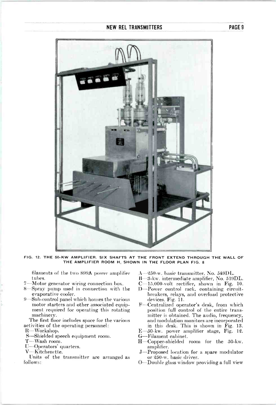#### NEW REL TRANSMITTERS PAGE 9



FIG. 12. THE 50 -KW AMPLIFIER. SIX SHAFTS AT THE FRONT EXTEND THROUGH THE WALL OF THE AMPLIFIER ROOM H. SHOWN IN THE FLOOR PLAN FIG. 8

filaments of the two 899A power amplifier tubes.

- 7-Motor generator wiring connection box.
- 8-Spray pump used in connection with the evaporative cooler.
- 9-Sub-control panel which houses the various motor starters and other associated equipment required for operating this rotating machinery.

The first floor includes space for the various<br>activities of the operating personnel:

- 
- R—Workshop.<br>S—Shielded speech equipment room.<br>T—Wash room.<br>U—Operators' quarters.<br>V—Kitchenette.
- 
- 
- 

Units of the transmitter are arranged as follows:

- A-250-w. basic transmitter, No. 549DL.
- <sup>B</sup>-3 -kw. intermediate amplifier, No. 519DL.
- C-15,000-volt rectifier, shown in Fig. 10.
- D-Power control rack, containing circuit-<br>breakers, relays, and overload protective devices, Fig. 11.
- F-Centralized operator's desk, from which position full control of the entire transmitter is obtained. The audio, frequency, and modulation monitors are incorporated in this desk. This is shown in Fig. 13.
- E-50-kw. power amplifier stage, Fig. 12.
- G-Filament cabinet.
- H-Copper-shielded room for the 50 -kw.
- J-Proposed location for a spare modulator or 250-w. basic driver.
- O-Double glass window providing a full view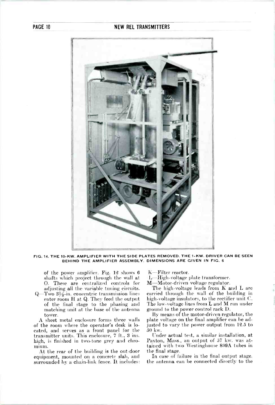#### PAGE 10 NEW REL TRANSMITTERS



FIG. 14. THE 10-KW. AMPLIFIER WITH THE SIDE PLATES REMOVED. THE 1-KW. DRIVER CAN BE SEEN BEHIND THE AMPLIFIER ASSEMBLY. DIMENSIONS ARE GIVEN IN FIG. 6

of the power amplifier. Fig. 12 shows 6 shafts which project through the wall at O. These are centralized controls for  $M$ —Motor-driven voltage regulator.<br>adjusting all the variable tuning circuits. The high-voltage leads from K and L are adjusting all the variable tuning circuits.

 $Q$ —Two  $3\frac{1}{8}$ -in. concentric transmission lines enter room H at Q. They feed the output of the final stage to the phasing and matching unit at the base of the antenna tower.

A sheet metal enclosure forms three walls of the room where the operator's desk is located, and serves as a front panel for the transmitter units. This enclosure, 7 ft., 3 ins. high, is finished in two-tone grey and chromium.

At the rear of the building is the out-door equipment, mounted on a concrete slab, and surrounded by a chain-link fence. It includes: K-Filter reactor.

L-High-voltage plate transformer.

M-Motor-driven voltage regulator.

earried through the wall of the building in high-voltage insulators, to the rectifier unit C. The low -voltage lines from L and M run under ground to the power control rack D.

By means of the motor -driven regulator, the plate voltage on the final amplifier can be adjusted to vary the power output from 12.5 to 50 kw.

Under actual test, a similar installation, at Paxton, Mass., an output of 57 kw. was attained with two Westinghouse 899A tubes in the final stage.

In case of failure in the final output stage. the antenna can be connected directly to the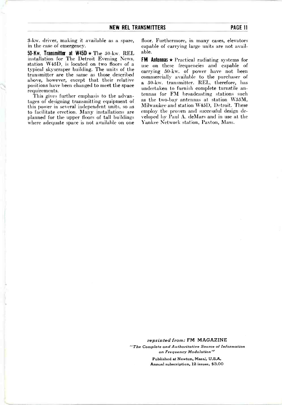3 -kw. driver, making it available as a spare, in the case of emergency.

50-Kw. Transmitter at W45D  $\star$  The 50-kw. REL installation for The Detroit Evening News, station W45D, is located on two floors of a typical skyscraper building. The units of the transmitter are the same as those described above, however, except that their relative positions have been changed to meet the space<br>undertaken to furnish complete turnstile anrequirements.

This gives further emphasis to the advantages of designing transmitting equipment of this power in several independent units, so as to facilitate erection. Many installations are planned for the upper floors of tall buildings where adequate space is not available on one floor. Furthermore, in many cases, elevators capable of carrying large units are not available.

**FM** Antennas  $\star$  Practical radiating systems for use on these frequencies and capable of carrying 50 -kw. of power have not been commercially available to the purchaser of a 50 -kw, transmitter. REL, therefore, has tennas for FM broadcasting stations such as the two -bay antennas at station W55M, Milwaukee and station W45D, Detroit. These employ the proven and successful design developed by Paul A. deMars and in use at the Yankee Network station, Paxton, Mass.

reprinted from: FM MAGAZINE "The Complete and Authoritative Source of Information on Frequency Modulation"

> Published at Newton, Mass:, U.S.A. Annual subscription, 12 issues, \$3.00